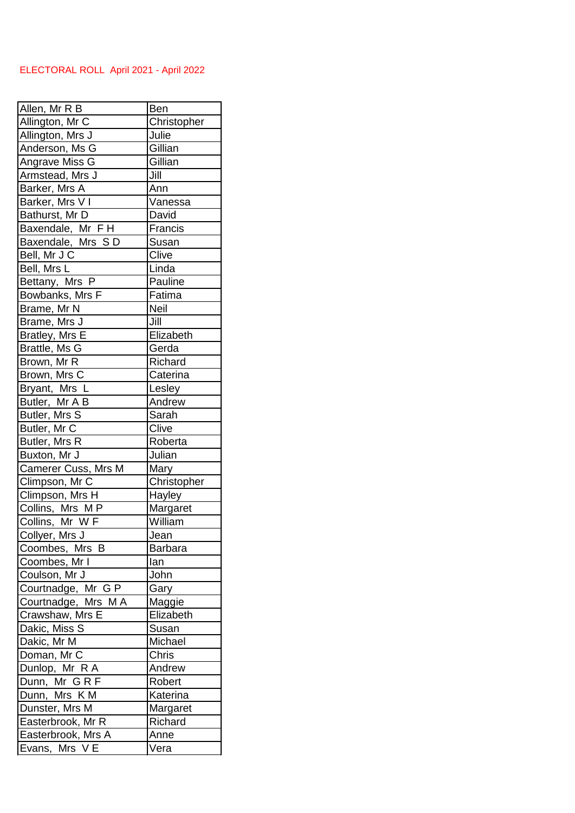## ELECTORAL ROLL April 2021 - April 2022

| Allen, Mr R B       | Ben              |
|---------------------|------------------|
| Allington, Mr C     | Christopher      |
| Allington, Mrs J    | Julie<br>Gillian |
| Anderson, Ms G      | Gillian          |
| Angrave Miss G      | Jill             |
| Armstead, Mrs J     |                  |
| Barker, Mrs A       | Ann              |
| Barker, Mrs V I     | Vanessa          |
| Bathurst, Mr D      | David            |
| Baxendale, Mr FH    | Francis          |
| Baxendale, Mrs SD   | Susan            |
| Bell, Mr J C        | Clive            |
| Bell, Mrs L         | Linda            |
| Bettany, Mrs P      | Pauline          |
| Bowbanks, Mrs F     | Fatima           |
| Brame, Mr N         | Neil             |
| Brame, Mrs J        | Jill             |
| Bratley, Mrs E      | Elizabeth        |
| Brattle, Ms G       | Gerda            |
| Brown, Mr R         | Richard          |
| Brown, Mrs C        | Caterina         |
| Bryant, Mrs L       | Lesley           |
| Butler, Mr A B      | Andrew           |
| Butler, Mrs S       | Sarah            |
| Butler, Mr C        | Clive            |
| Butler, Mrs R       | Roberta          |
| Buxton, Mr J        | Julian           |
| Camerer Cuss, Mrs M | Mary             |
| Climpson, Mr C      | Christopher      |
| Climpson, Mrs H     | Hayley           |
| Collins, Mrs MP     | Margaret         |
| Collins, Mr W F     | William          |
| Collyer, Mrs J      | Jean             |
| Coombes, Mrs B      | <b>Barbara</b>   |
| Coombes, Mr I       | lan              |
| Coulson, Mr J       | John             |
| Courtnadge, Mr G P  | Gary             |
| Courtnadge, Mrs MA  | Maggie           |
| Crawshaw, Mrs E     | Elizabeth        |
| Dakic, Miss S       | Susan            |
| Dakic, Mr M         | Michael          |
| Doman, Mr C         | Chris            |
| Dunlop, Mr R A      | Andrew           |
| Dunn, Mr G R F      | Robert           |
| Dunn, Mrs K M       | Katerina         |
| Dunster, Mrs M      | Margaret         |
| Easterbrook, Mr R   | Richard          |
| Easterbrook, Mrs A  | Anne             |
| Evans, Mrs V E      | Vera             |
|                     |                  |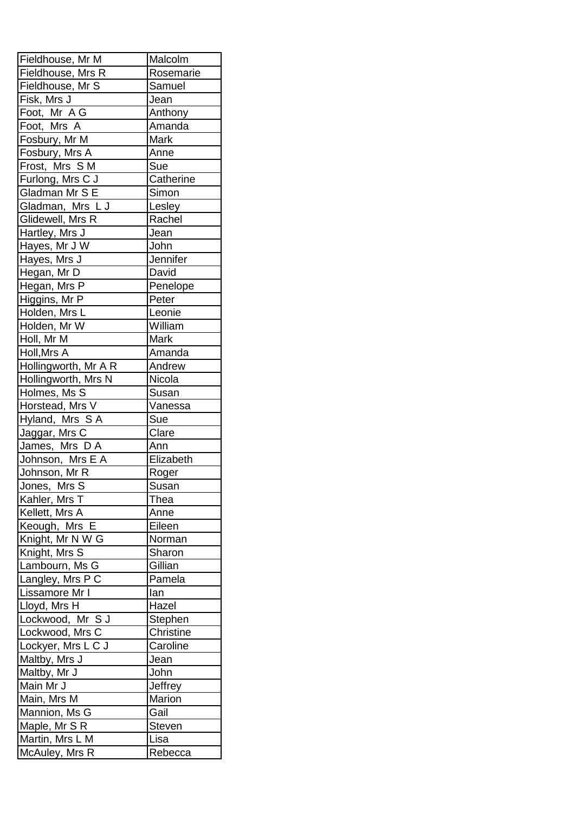| Fieldhouse, Mr M               | Malcolm       |
|--------------------------------|---------------|
| Fieldhouse, Mrs R              | Rosemarie     |
| Fieldhouse, Mr S               | Samuel        |
| Fisk, Mrs J                    | Jean          |
| Foot, Mr AG                    | Anthony       |
| Foot, Mrs A                    | Amanda        |
| Fosbury, Mr M                  | Mark          |
| Fosbury, Mrs A                 | Anne          |
| Frost, Mrs SM                  | Sue           |
| Furlong, Mrs C J               | Catherine     |
| Gladman Mr S E                 | Simon         |
| Gladman, Mrs L J               | Lesley        |
| Glidewell, Mrs R               | Rachel        |
| Hartley, Mrs J                 | Jean          |
| Hayes, Mr J W                  | John          |
| Hayes, Mrs J                   | Jennifer      |
| Hegan, Mr D                    | David         |
| Hegan, Mrs P                   | Penelope      |
| Higgins, Mr P                  | Peter         |
| Holden, Mrs L                  | Leonie        |
| Holden, Mr W                   | William       |
| Holl, Mr M                     | <b>Mark</b>   |
| Holl, Mrs A                    | Amanda        |
| Hollingworth, Mr A R           | Andrew        |
| Hollingworth, Mrs N            | Nicola        |
| Holmes, Ms S                   | Susan         |
| Horstead, Mrs V                | Vanessa       |
| Hyland, Mrs SA                 | Sue           |
| Jaggar, Mrs C                  | Clare         |
| James, Mrs D A                 | Ann           |
| Johnson, Mrs E A               | Elizabeth     |
| Johnson, Mr R                  | Roger         |
| Jones, Mrs S                   | Susan         |
| Kahler, Mrs T                  | Thea          |
| Kellett, Mrs A                 | Anne          |
| Keough, Mrs E                  | Eileen        |
| Knight, Mr N W G               | Norman        |
| Knight, Mrs S                  | Sharon        |
| Lambourn, Ms G                 | Gillian       |
| Langley, Mrs P C               | Pamela        |
| Lissamore Mr I                 | lan           |
| Lloyd, Mrs H                   | Hazel         |
| Lockwood, Mr S J               | Stephen       |
| Lockwood, Mrs C                | Christine     |
| Lockyer, Mrs L C J             | Caroline      |
| Maltby, Mrs J                  | Jean          |
| Maltby, Mr J                   | John          |
| Main Mr J                      | Jeffrey       |
|                                |               |
| Main, Mrs M                    | Marion        |
|                                | Gail          |
| Mannion, Ms G<br>Maple, Mr S R | <b>Steven</b> |
| Martin, Mrs L M                | Lisa          |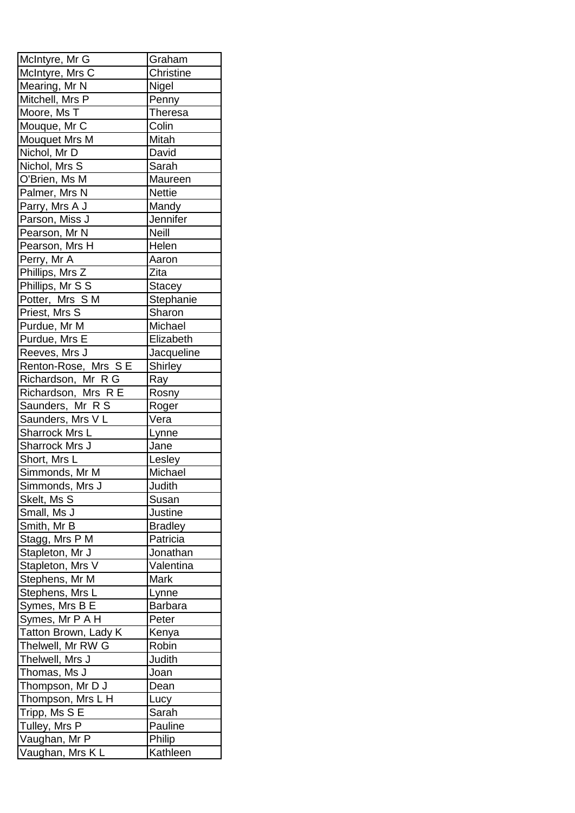| McIntyre, Mr G       | Graham         |
|----------------------|----------------|
| McIntyre, Mrs C      | Christine      |
| Mearing, Mr N        | Nigel          |
| Mitchell, Mrs P      | Penny          |
| Moore, Ms T          | <b>Theresa</b> |
| Mouque, Mr C         | Colin          |
| Mouquet Mrs M        | Mitah          |
| Nichol, Mr D         | David          |
| Nichol, Mrs S        | Sarah          |
| O'Brien, Ms M        | Maureen        |
| Palmer, Mrs N        | <b>Nettie</b>  |
| Parry, Mrs A J       | Mandy          |
| Parson, Miss J       | Jennifer       |
| Pearson, Mr N        | <b>Neill</b>   |
| Pearson, Mrs H       | Helen          |
| Perry, Mr A          | Aaron          |
| Phillips, Mrs Z      | Zita           |
| Phillips, Mr S S     | <b>Stacey</b>  |
| Potter, Mrs S M      | Stephanie      |
| Priest, Mrs S        | Sharon         |
| Purdue, Mr M         | Michael        |
| Purdue, Mrs E        | Elizabeth      |
| Reeves, Mrs J        | Jacqueline     |
| Renton-Rose, Mrs SE  | Shirley        |
| Richardson, Mr R G   | Ray            |
| Richardson, Mrs R E  | Rosny          |
| Saunders, Mr R S     | Roger          |
| Saunders, Mrs VL     | Vera           |
| Sharrock Mrs L       | Lynne          |
| Sharrock Mrs J       | Jane           |
| Short, Mrs L         | Lesley         |
| Simmonds, Mr M       | Michael        |
| Simmonds, Mrs J      | Judith         |
| Skelt, Ms S          | Susan          |
| Small, Ms J          | Justine        |
| Smith, Mr B          | <b>Bradley</b> |
| Stagg, Mrs P M       | Patricia       |
| Stapleton, Mr J      | Jonathan       |
| Stapleton, Mrs V     | Valentina      |
| Stephens, Mr M       | <b>Mark</b>    |
| Stephens, Mrs L      | Lynne          |
| Symes, Mrs B E       | <b>Barbara</b> |
| Symes, Mr P A H      | Peter          |
| Tatton Brown, Lady K | Kenya          |
| Thelwell, Mr RW G    | Robin          |
| Thelwell, Mrs J      | Judith         |
| Thomas, Ms J         | Joan           |
| Thompson, Mr D J     | Dean           |
| Thompson, Mrs L H    | Lucy           |
| Tripp, Ms S E        | Sarah          |
| Tulley, Mrs P        | Pauline        |
| Vaughan, Mr P        | Philip         |
| Vaughan, Mrs KL      | Kathleen       |
|                      |                |